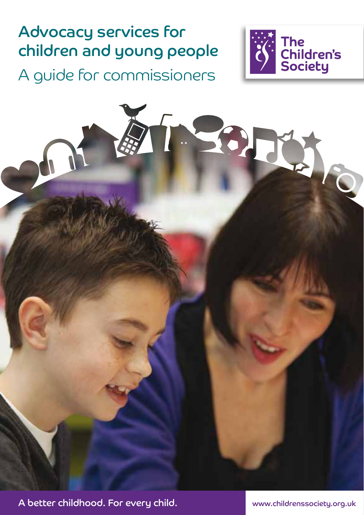# Advocacy services for children and young people A guide for commissioners



3

A better childhood. For every child. www.childrenssociety.org.uk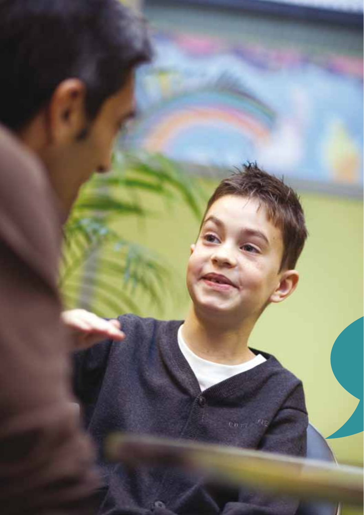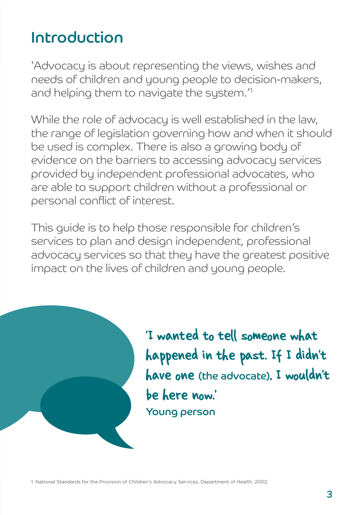## Introduction

'Advocacy is about representing the views, wishes and needs of children and young people to decision-makers, and helping them to navigate the system.'1

While the role of advocacu is well established in the law. the range of legislation governing how and when it should be used is complex. There is also a growing body of evidence on the barriers to accessing advocacy services provided by independent professional advocates, who are able to support children without a professional or personal conflict of interest.

This guide is to help those responsible for children's services to plan and design independent, professional advocacy services so that they have the greatest positive impact on the lives of children and young people.



'I wanted to tell someone what happened in the past. If I didn't have one (the advocate). I wouldn't be here now.' Young person

1. National Standards for the Provision of Children's Advocacy Services, Department of Health, 2002.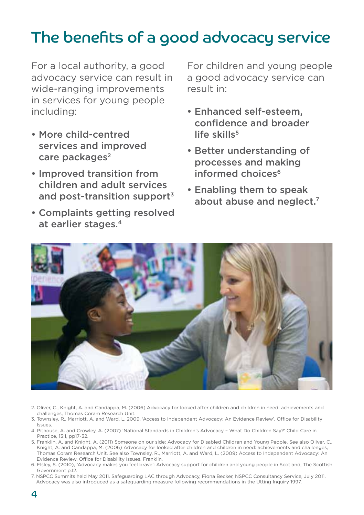### The benefits of a good advocacy service

For a local authority, a good advocacy service can result in wide-ranging improvements in services for young people including:

- More child-centred services and improved care packages<sup>2</sup>
- Improved transition from children and adult services and post-transition support $3$
- Complaints getting resolved at earlier stages.4

For children and young people a good advocacy service can result in:

- Enhanced self-esteem, confidence and broader life skills $5$
- Better understanding of processes and making informed choices<sup>6</sup>
- Enabling them to speak about abuse and neglect.<sup>7</sup>



- 2. Oliver, C., Knight, A. and Candappa, M. (2006) Advocacy for looked after children and children in need: achievements and challenges, Thomas Coram Research Unit.
- 3. Townsley, R., Marriott, A. and Ward, L. 2009, 'Access to Independent Advocacy: An Evidence Review', Office for Disability Issues.
- 4. Pithouse, A. and Crowley, A. (2007) 'National Standards in Children's Advocacy What Do Children Say?' Child Care in Practice, 13:1, pp17-32.
- 5. Franklin, A. and Knight, A. (2011) Someone on our side: Advocacy for Disabled Children and Young People. See also Oliver, C., Knight, A. and Candappa, M. (2006) Advocacy for looked after children and children in need: achievements and challenges, Thomas Coram Research Unit. See also Townsley, R., Marriott, A. and Ward, L. (2009) Access to Independent Advocacy: An Evidence Review. Office for Disability Issues. Franklin.
- 6. Elsley, S. (2010), *'*Advocacy makes you feel brave': Advocacy support for children and young people in Scotland, The Scottish Government p.12.
- 7. NSPCC Summits held May 2011. Safeguarding LAC through Advocacy, Fiona Becker, NSPCC Consultancy Service, July 2011. Advocacy was also introduced as a safeguarding measure following recommendations in the Utting Inquiry 1997.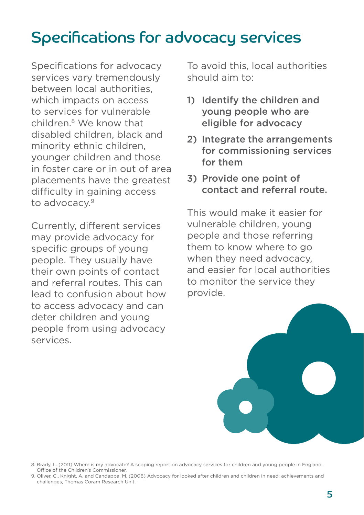## Specifications for advocacy services

Specifications for advocacy services vary tremendously between local authorities, which impacts on access to services for vulnerable children.8 We know that disabled children, black and minority ethnic children, younger children and those in foster care or in out of area placements have the greatest difficulty in gaining access to advocacy.<sup>9</sup>

Currently, different services may provide advocacy for specific groups of young people. They usually have their own points of contact and referral routes. This can lead to confusion about how to access advocacy and can deter children and young people from using advocacy services.

To avoid this, local authorities should aim to:

- 1) Identify the children and young people who are eligible for advocacy
- 2) Integrate the arrangements for commissioning services for them
- 3) Provide one point of contact and referral route.

This would make it easier for vulnerable children, young people and those referring them to know where to go when they need advocacy, and easier for local authorities to monitor the service they provide.



<sup>8.</sup> Brady, L. (2011) Where is my advocate? A scoping report on advocacy services for children and young people in England. Office of the Children's Commissioner.

<sup>9.</sup> Oliver, C., Knight, A. and Candappa, M. (2006) Advocacy for looked after children and children in need: achievements and challenges, Thomas Coram Research Unit.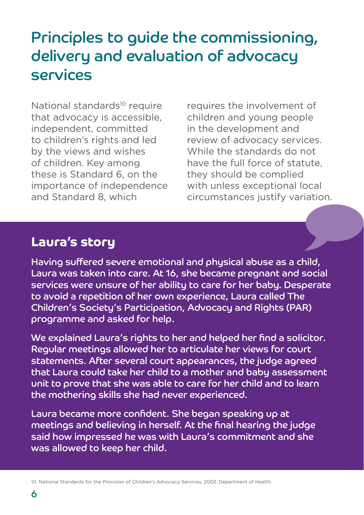### Principles to guide the commissioning, delivery and evaluation of advocacy services

National standards<sup>10</sup> require that advocacy is accessible, independent, committed to children's rights and led by the views and wishes of children. Key among these is Standard 6, on the importance of independence and Standard 8, which

requires the involvement of children and young people in the development and review of advocacy services. While the standards do not have the full force of statute, they should be complied with unless exceptional local circumstances justify variation.

#### Laura's story

Having suffered severe emotional and physical abuse as a child, Laura was taken into care. At 16, she became pregnant and social services were unsure of her ability to care for her baby. Desperate to avoid a repetition of her own experience, Laura called The Children's Society's Participation, Advocacy and Rights (PAR) programme and asked for help.

We explained Laura's rights to her and helped her find a solicitor. Regular meetings allowed her to articulate her views for court statements. After several court appearances, the judge agreed that Laura could take her child to a mother and baby assessment unit to prove that she was able to care for her child and to learn the mothering skills she had never experienced.

Laura became more confident. She began speaking up at meetings and believing in herself. At the final hearing the judge said how impressed he was with Laura's commitment and she was allowed to keep her child.

10. National Standards for the Provision of Children's Advocacy Services, 2002, Department of Health.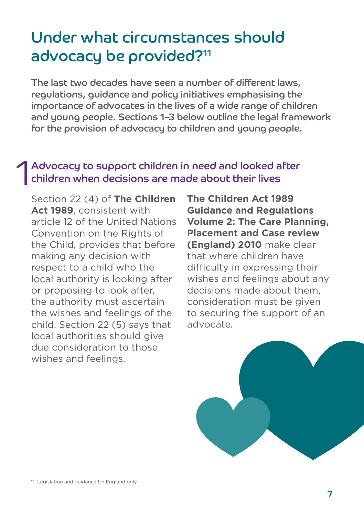## Under what circumstances should advocacy be provided?11

The last two decades have seen a number of different laws, regulations, guidance and policy initiatives emphasising the importance of advocates in the lives of a wide range of children and young people. Sections 1–3 below outline the legal framework for the provision of advocacy to children and young people.

#### Advocacy to support children in need and looked after children when decisions are made about their lives 1

Section 22 (4) of **The Children Act 1989**, consistent with article 12 of the United Nations Convention on the Rights of the Child, provides that before making any decision with respect to a child who the local authority is looking after or proposing to look after, the authority must ascertain the wishes and feelings of the child. Section 22 (5) says that local authorities should give due consideration to those wishes and feelings.

**The Children Act 1989 Guidance and Regulations Volume 2: The Care Planning, Placement and Case review (England) 2010** make clear that where children have difficulty in expressing their wishes and feelings about any decisions made about them, consideration must be given to securing the support of an advocate.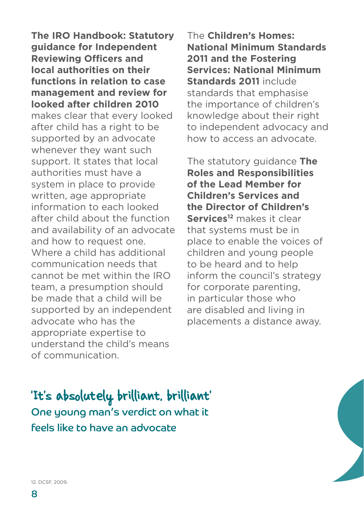**The IRO Handbook: Statutory guidance for Independent Reviewing Officers and local authorities on their functions in relation to case management and review for looked after children 2010**  makes clear that every looked after child has a right to be supported by an advocate whenever they want such support. It states that local authorities must have a system in place to provide written, age appropriate information to each looked after child about the function and availability of an advocate and how to request one. Where a child has additional communication needs that cannot be met within the IRO team, a presumption should be made that a child will be supported by an independent advocate who has the appropriate expertise to understand the child's means of communication.

The **Children's Homes: National Minimum Standards 2011 and the Fostering Services: National Minimum Standards 2011** include standards that emphasise the importance of children's knowledge about their right to independent advocacy and how to access an advocate.

The statutory guidance **The Roles and Responsibilities of the Lead Member for Children's Services and the Director of Children's Services12** makes it clear that systems must be in place to enable the voices of children and young people to be heard and to help inform the council's strategy for corporate parenting, in particular those who are disabled and living in placements a distance away.

'It's absolutely brilliant, brilliant' One young man's verdict on what it feels like to have an advocate

12. DCSF, 2009.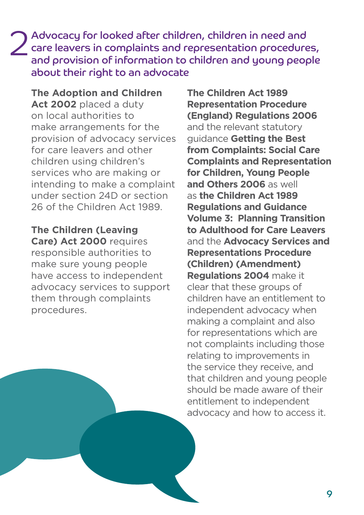Advocacy for looked after children, children in need and care leavers in complaints and representation procedures, and provision of information to children and young people about their right to an advocate 2

**The Adoption and Children Act 2002** placed a duty on local authorities to make arrangements for the provision of advocacy services for care leavers and other children using children's services who are making or intending to make a complaint under section 24D or section 26 of the Children Act 1989.

**The Children (Leaving Care) Act 2000** requires responsible authorities to make sure young people have access to independent advocacy services to support them through complaints procedures.

**The Children Act 1989 Representation Procedure (England) Regulations 2006** and the relevant statutory guidance **Getting the Best from Complaints: Social Care Complaints and Representation for Children, Young People and Others 2006** as well as **the Children Act 1989 Regulations and Guidance Volume 3: Planning Transition to Adulthood for Care Leavers** and the **Advocacy Services and Representations Procedure (Children) (Amendment) Regulations 2004** make it clear that these groups of children have an entitlement to independent advocacy when making a complaint and also for representations which are not complaints including those relating to improvements in the service they receive, and that children and young people should be made aware of their entitlement to independent advocacy and how to access it.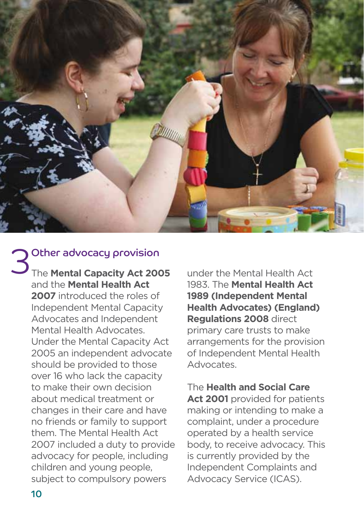

The **Mental Capacity Act 2005** and the **Mental Health Act**  Other advocacy provision 3

**2007** introduced the roles of Independent Mental Capacity Advocates and Independent Mental Health Advocates. Under the Mental Capacity Act 2005 an independent advocate should be provided to those over 16 who lack the capacity to make their own decision about medical treatment or changes in their care and have no friends or family to support them. The Mental Health Act 2007 included a duty to provide advocacy for people, including children and young people, subject to compulsory powers

under the Mental Health Act 1983. The **Mental Health Act 1989 (Independent Mental Health Advocates) (England) Regulations 2008** direct primary care trusts to make arrangements for the provision of Independent Mental Health Advocates.

The **Health and Social Care Act 2001** provided for patients making or intending to make a complaint, under a procedure operated by a health service body, to receive advocacy. This is currently provided by the Independent Complaints and Advocacy Service (ICAS).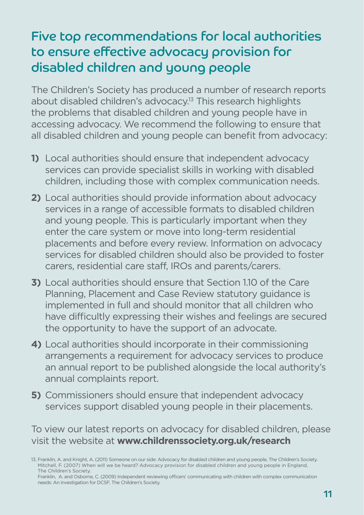### Five top recommendations for local authorities to ensure effective advocacy provision for disabled children and young people

The Children's Society has produced a number of research reports about disabled children's advocacy.<sup>13</sup> This research highlights the problems that disabled children and young people have in accessing advocacy. We recommend the following to ensure that all disabled children and young people can benefit from advocacy:

- **1)** Local authorities should ensure that independent advocacy services can provide specialist skills in working with disabled children, including those with complex communication needs.
- **2)** Local authorities should provide information about advocacy services in a range of accessible formats to disabled children and young people. This is particularly important when they enter the care system or move into long-term residential placements and before every review. Information on advocacy services for disabled children should also be provided to foster carers, residential care staff, IROs and parents/carers.
- **3)** Local authorities should ensure that Section 1.10 of the Care Planning, Placement and Case Review statutory guidance is implemented in full and should monitor that all children who have difficultly expressing their wishes and feelings are secured the opportunity to have the support of an advocate.
- **4)** Local authorities should incorporate in their commissioning arrangements a requirement for advocacy services to produce an annual report to be published alongside the local authority's annual complaints report.
- **5)** Commissioners should ensure that independent advocacy services support disabled young people in their placements.

To view our latest reports on advocacy for disabled children, please visit the website at **www.childrenssociety.org.uk/research**

Franklin, A. and Osborne, C. (2009) Independent reviewing officers' communicating with children with complex communication needs: An investigation for DCSF, The Children's Society.

<sup>13.</sup> Franklin, A. and Knight, A. (2011) Someone on our side: Advocacy for disabled children and young people, The Children's Society. Mitchell, F. (2007) When will we be heard? Advocacy provision for disabled children and young people in England, The Children's Society.